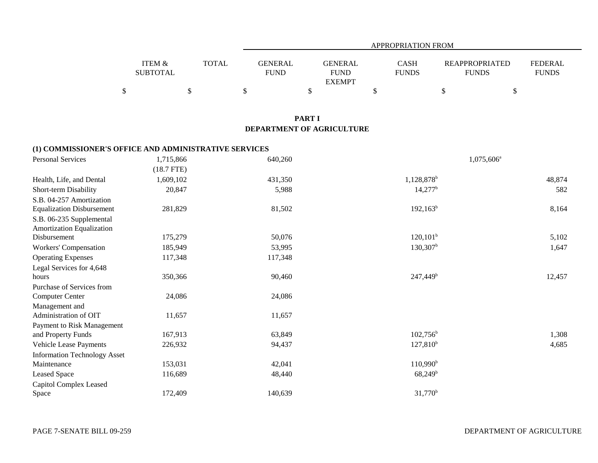|                                      |       | APPROPRIATION FROM     |                                                |                             |                                       |                                |  |  |
|--------------------------------------|-------|------------------------|------------------------------------------------|-----------------------------|---------------------------------------|--------------------------------|--|--|
| <b>ITEM &amp;</b><br><b>SUBTOTAL</b> | TOTAL | GENERAL<br><b>FUND</b> | <b>GENERAL</b><br><b>FUND</b><br><b>EXEMPT</b> | <b>CASH</b><br><b>FUNDS</b> | <b>REAPPROPRIATED</b><br><b>FUNDS</b> | <b>FEDERAL</b><br><b>FUNDS</b> |  |  |
|                                      |       |                        |                                                |                             |                                       |                                |  |  |

### **PART I DEPARTMENT OF AGRICULTURE**

### **(1) COMMISSIONER'S OFFICE AND ADMINISTRATIVE SERVICES**

| <b>Personal Services</b>                              | 1,715,866    | 640,260 | 1,075,606 <sup>a</sup> |        |
|-------------------------------------------------------|--------------|---------|------------------------|--------|
|                                                       | $(18.7$ FTE) |         |                        |        |
| Health, Life, and Dental                              | 1,609,102    | 431,350 | 1,128,878 <sup>b</sup> | 48,874 |
| Short-term Disability                                 | 20,847       | 5,988   | $14,277^b$             | 582    |
| S.B. 04-257 Amortization                              |              |         |                        |        |
| <b>Equalization Disbursement</b>                      | 281,829      | 81,502  | $192, 163^b$           | 8,164  |
| S.B. 06-235 Supplemental<br>Amortization Equalization |              |         |                        |        |
| Disbursement                                          | 175,279      | 50,076  | $120, 101^b$           | 5,102  |
| Workers' Compensation                                 | 185,949      | 53,995  | $130,307^{\rm b}$      | 1,647  |
| <b>Operating Expenses</b>                             | 117,348      | 117,348 |                        |        |
| Legal Services for 4,648                              |              |         |                        |        |
| hours                                                 | 350,366      | 90,460  | 247,449 <sup>b</sup>   | 12,457 |
| Purchase of Services from                             |              |         |                        |        |
| <b>Computer Center</b>                                | 24,086       | 24,086  |                        |        |
| Management and                                        |              |         |                        |        |
| Administration of OIT                                 | 11,657       | 11,657  |                        |        |
| Payment to Risk Management                            |              |         |                        |        |
| and Property Funds                                    | 167,913      | 63,849  | $102,756^{\circ}$      | 1,308  |
| Vehicle Lease Payments                                | 226,932      | 94,437  | $127,810^{b}$          | 4,685  |
| <b>Information Technology Asset</b>                   |              |         |                        |        |
| Maintenance                                           | 153,031      | 42,041  | $110,990^{\rm b}$      |        |
| Leased Space                                          | 116,689      | 48,440  | $68,249^b$             |        |
| Capitol Complex Leased                                |              |         |                        |        |
| Space                                                 | 172,409      | 140,639 | $31,770^b$             |        |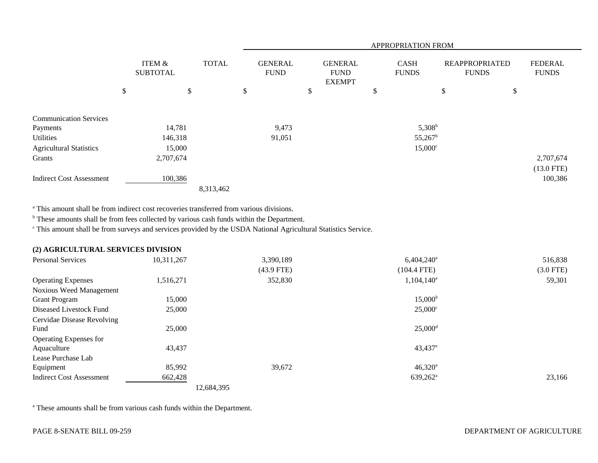|                                 |    |                           |              |                               | APPROPRIATION FROM |                                                |  |                             |                  |                                       |    |                                |
|---------------------------------|----|---------------------------|--------------|-------------------------------|--------------------|------------------------------------------------|--|-----------------------------|------------------|---------------------------------------|----|--------------------------------|
|                                 |    | ITEM &<br><b>SUBTOTAL</b> | <b>TOTAL</b> | <b>GENERAL</b><br><b>FUND</b> |                    | <b>GENERAL</b><br><b>FUND</b><br><b>EXEMPT</b> |  | <b>CASH</b><br><b>FUNDS</b> |                  | <b>REAPPROPRIATED</b><br><b>FUNDS</b> |    | <b>FEDERAL</b><br><b>FUNDS</b> |
|                                 | \$ | \$                        |              | \$                            |                    | \$                                             |  | \$                          |                  | \$                                    | \$ |                                |
| <b>Communication Services</b>   |    |                           |              |                               |                    |                                                |  |                             |                  |                                       |    |                                |
| Payments                        |    | 14,781                    |              |                               | 9,473              |                                                |  |                             | $5,308^{\rm b}$  |                                       |    |                                |
| Utilities                       |    | 146,318                   |              |                               | 91,051             |                                                |  |                             | $55,267^{\rm b}$ |                                       |    |                                |
| <b>Agricultural Statistics</b>  |    | 15,000                    |              |                               |                    |                                                |  |                             | $15,000^{\circ}$ |                                       |    |                                |
| Grants                          |    | 2,707,674                 |              |                               |                    |                                                |  |                             |                  |                                       |    | 2,707,674                      |
|                                 |    |                           |              |                               |                    |                                                |  |                             |                  |                                       |    | $(13.0$ FTE)                   |
| <b>Indirect Cost Assessment</b> |    | 100,386                   |              |                               |                    |                                                |  |                             |                  |                                       |    | 100,386                        |
|                                 |    |                           | 8,313,462    |                               |                    |                                                |  |                             |                  |                                       |    |                                |

a This amount shall be from indirect cost recoveries transferred from various divisions.

<sup>b</sup> These amounts shall be from fees collected by various cash funds within the Department.

c This amount shall be from surveys and services provided by the USDA National Agricultural Statistics Service.

## **(2) AGRICULTURAL SERVICES DIVISION**

| <b>Personal Services</b>        | 10,311,267 | 3,390,189    | $6,404,240$ <sup>a</sup> | 516,838     |
|---------------------------------|------------|--------------|--------------------------|-------------|
|                                 |            | $(43.9$ FTE) | $(104.4$ FTE)            | $(3.0$ FTE) |
| <b>Operating Expenses</b>       | 1,516,271  | 352,830      | $1,104,140^a$            | 59,301      |
| <b>Noxious Weed Management</b>  |            |              |                          |             |
| <b>Grant Program</b>            | 15,000     |              | $15,000^{\rm b}$         |             |
| Diseased Livestock Fund         | 25,000     |              | $25,000^{\circ}$         |             |
| Cervidae Disease Revolving      |            |              |                          |             |
| Fund                            | 25,000     |              | $25,000$ <sup>d</sup>    |             |
| Operating Expenses for          |            |              |                          |             |
| Aquaculture                     | 43,437     |              | $43,437$ <sup>e</sup>    |             |
| Lease Purchase Lab              |            |              |                          |             |
| Equipment                       | 85,992     | 39,672       | $46,320^{\circ}$         |             |
| <b>Indirect Cost Assessment</b> | 662,428    |              | $639,262^{\circ}$        | 23,166      |
|                                 | 12,684,395 |              |                          |             |

<sup>a</sup> These amounts shall be from various cash funds within the Department.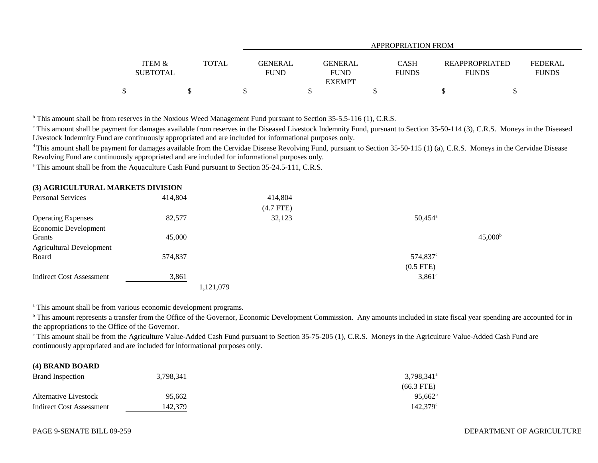|                   |              | <b>APPROPRIATION FROM</b> |                |              |                       |                |  |  |
|-------------------|--------------|---------------------------|----------------|--------------|-----------------------|----------------|--|--|
| <b>ITEM &amp;</b> | <b>TOTAL</b> | <b>GENERAL</b>            | <b>GENERAL</b> | <b>CASH</b>  | <b>REAPPROPRIATED</b> | <b>FEDERAL</b> |  |  |
| <b>SUBTOTAL</b>   |              | <b>FUND</b>               | <b>FUND</b>    | <b>FUNDS</b> | <b>FUNDS</b>          | <b>FUNDS</b>   |  |  |
|                   |              |                           | <b>EXEMPT</b>  |              |                       |                |  |  |
|                   |              |                           |                |              |                       |                |  |  |

<sup>b</sup> This amount shall be from reserves in the Noxious Weed Management Fund pursuant to Section 35-5.5-116 (1), C.R.S.

<sup>c</sup> This amount shall be payment for damages available from reserves in the Diseased Livestock Indemnity Fund, pursuant to Section 35-50-114 (3), C.R.S. Moneys in the Diseased Livestock Indemnity Fund are continuously appropriated and are included for informational purposes only.

<sup>d</sup> This amount shall be payment for damages available from the Cervidae Disease Revolving Fund, pursuant to Section 35-50-115 (1) (a), C.R.S. Moneys in the Cervidae Disease Revolving Fund are continuously appropriated and are included for informational purposes only.

<sup>e</sup> This amount shall be from the Aquaculture Cash Fund pursuant to Section 35-24.5-111, C.R.S.

| (3) AGRICULTURAL MARKETS DIVISION |
|-----------------------------------|
|-----------------------------------|

| <b>Personal Services</b>        | 414,804 | 414,804     |                       |                  |
|---------------------------------|---------|-------------|-----------------------|------------------|
|                                 |         | $(4.7$ FTE) |                       |                  |
| <b>Operating Expenses</b>       | 82,577  | 32,123      | $50,454$ <sup>a</sup> |                  |
| Economic Development            |         |             |                       |                  |
| Grants                          | 45,000  |             |                       | $45,000^{\rm b}$ |
| <b>Agricultural Development</b> |         |             |                       |                  |
| Board                           | 574,837 |             | $574,837^{\circ}$     |                  |
|                                 |         |             | $(0.5$ FTE)           |                  |
| <b>Indirect Cost Assessment</b> | 3,861   |             | $3,861$ °             |                  |
|                                 |         | 1,121,079   |                       |                  |

<sup>a</sup> This amount shall be from various economic development programs.

<sup>b</sup> This amount represents a transfer from the Office of the Governor, Economic Development Commission. Any amounts included in state fiscal year spending are accounted for in the appropriations to the Office of the Governor.

<sup>c</sup> This amount shall be from the Agriculture Value-Added Cash Fund pursuant to Section 35-75-205 (1), C.R.S. Moneys in the Agriculture Value-Added Cash Fund are continuously appropriated and are included for informational purposes only.

#### **(4) BRAND BOARD**

| <b>Brand Inspection</b>  | 3,798,341 | 3,798,341 <sup>a</sup> |
|--------------------------|-----------|------------------------|
|                          |           | $(66.3$ FTE)           |
| Alternative Livestock    | 95.662    | $95,662^{\rm b}$       |
| Indirect Cost Assessment | 142.379   | $142.379^{\circ}$      |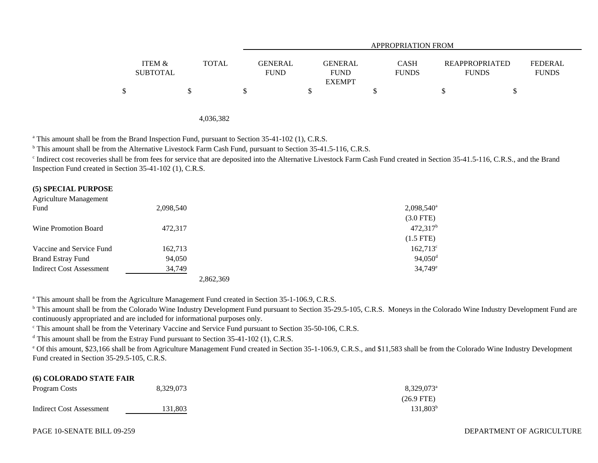|                                      |       |                               | APPROPRIATION FROM                      |                             |                                       |                                |  |  |  |
|--------------------------------------|-------|-------------------------------|-----------------------------------------|-----------------------------|---------------------------------------|--------------------------------|--|--|--|
| <b>ITEM &amp;</b><br><b>SUBTOTAL</b> | TOTAL | <b>GENERAL</b><br><b>FUND</b> | GENERAL<br><b>FUND</b><br><b>EXEMPT</b> | <b>CASH</b><br><b>FUNDS</b> | <b>REAPPROPRIATED</b><br><b>FUNDS</b> | <b>FEDERAL</b><br><b>FUNDS</b> |  |  |  |
|                                      |       |                               |                                         |                             |                                       |                                |  |  |  |

#### 4,036,382

<sup>a</sup> This amount shall be from the Brand Inspection Fund, pursuant to Section 35-41-102 (1), C.R.S.

<sup>b</sup> This amount shall be from the Alternative Livestock Farm Cash Fund, pursuant to Section 35-41.5-116, C.R.S.

<sup>c</sup> Indirect cost recoveries shall be from fees for service that are deposited into the Alternative Livestock Farm Cash Fund created in Section 35-41.5-116, C.R.S., and the Brand Inspection Fund created in Section 35-41-102 (1), C.R.S.

#### **(5) SPECIAL PURPOSE**

| Agriculture Management          |           |                          |
|---------------------------------|-----------|--------------------------|
| Fund                            | 2,098,540 | $2,098,540$ <sup>a</sup> |
|                                 |           | $(3.0$ FTE)              |
| Wine Promotion Board            | 472,317   | $472,317$ <sup>b</sup>   |
|                                 |           | $(1.5$ FTE)              |
| Vaccine and Service Fund        | 162,713   | $162,713^{\circ}$        |
| <b>Brand Estray Fund</b>        | 94,050    | $94,050$ <sup>d</sup>    |
| <b>Indirect Cost Assessment</b> | 34,749    | 34,749 <sup>e</sup>      |
|                                 | 2,862,369 |                          |

<sup>a</sup> This amount shall be from the Agriculture Management Fund created in Section 35-1-106.9, C.R.S.

<sup>b</sup> This amount shall be from the Colorado Wine Industry Development Fund pursuant to Section 35-29.5-105, C.R.S. Moneys in the Colorado Wine Industry Development Fund are continuously appropriated and are included for informational purposes only.

<sup>c</sup> This amount shall be from the Veterinary Vaccine and Service Fund pursuant to Section 35-50-106, C.R.S.

<sup>d</sup> This amount shall be from the Estray Fund pursuant to Section 35-41-102 (1), C.R.S.

e Of this amount, \$23,166 shall be from Agriculture Management Fund created in Section 35-1-106.9, C.R.S., and \$11,583 shall be from the Colorado Wine Industry Development Fund created in Section 35-29.5-105, C.R.S.

# **(6) COLORADO STATE FAIR** Program Costs 8,329,073 8,329,073 8,329,073 8,329,073 8,329,073 8,329,073 8,329,073 8,329,073 8,429 and the state of the state of the state of the state of the state of the state of the state of the state of the state of t (26.9 FTE) Indirect Cost Assessment 131,803 131,803 131,803 131,803 131,803 131,803 131,803 131,803 131,803 131,803 131,803 131,803 131,803 131,803 131,803 131,803 131,803 131,803 131,803 131,803 131,803 131,80 1